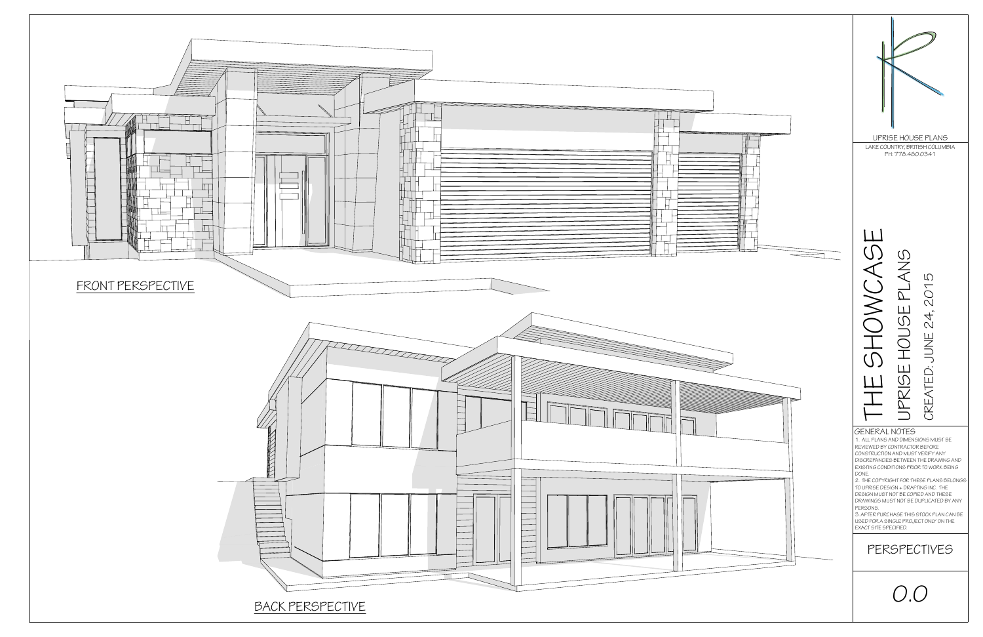